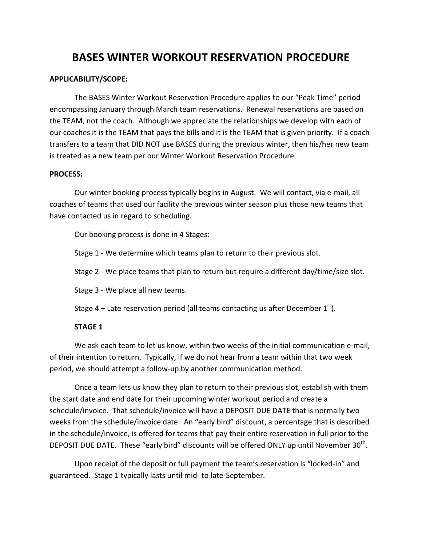# BASES WINTER WORKOUT RESERVATION PROCEDURE

#### APPLICABILITY/SCOPE:

The BASES Winter Workout Reservation Procedure applies to our "Peak Time" period encompassing January through March team reservations. Renewal reservations are based on the TEAM, not the coach. Although we appreciate the relationships we develop with each of our coaches it is the TEAM that pays the bills and it is the TEAM that is given priority. If a coach transfers to a team that DID NOT use BASES during the previous winter, then his/her new team is treated as a new team per our Winter Workout Reservation Procedure.

#### PROCESS:

Our winter booking process typically begins in August. We will contact, via e-mail, all coaches of teams that used our facility the previous winter season plus those new teams that have contacted us in regard to scheduling.

Our booking process is done in 4 Stages:

Stage 1 - We determine which teams plan to return to their previous slot.

Stage 2 - We place teams that plan to return but require a different day/time/size slot.

Stage 3 - We place all new teams.

Stage 4 – Late reservation period (all teams contacting us after December  $1<sup>st</sup>$ ).

#### STAGE 1

We ask each team to let us know, within two weeks of the initial communication e-mail, of their intention to return. Typically, if we do not hear from a team within that two week period, we should attempt a follow-up by another communication method.

Once a team lets us know they plan to return to their previous slot, establish with them the start date and end date for their upcoming winter workout period and create a schedule/invoice. That schedule/invoice will have a DEPOSIT DUE DATE that is normally two weeks from the schedule/invoice date. An "early bird" discount, a percentage that is described in the schedule/invoice, is offered for teams that pay their entire reservation in full prior to the DEPOSIT DUE DATE. These "early bird" discounts will be offered ONLY up until November  $30<sup>th</sup>$ .

Upon receipt of the deposit or full payment the team's reservation is "locked-in" and guaranteed. Stage 1 typically lasts until mid- to late-September.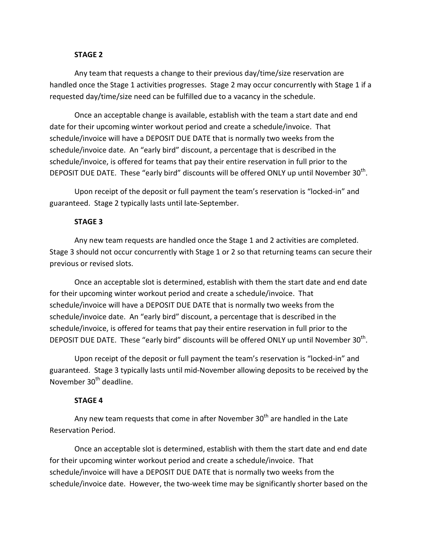#### STAGE 2

Any team that requests a change to their previous day/time/size reservation are handled once the Stage 1 activities progresses. Stage 2 may occur concurrently with Stage 1 if a requested day/time/size need can be fulfilled due to a vacancy in the schedule.

Once an acceptable change is available, establish with the team a start date and end date for their upcoming winter workout period and create a schedule/invoice. That schedule/invoice will have a DEPOSIT DUE DATE that is normally two weeks from the schedule/invoice date. An "early bird" discount, a percentage that is described in the schedule/invoice, is offered for teams that pay their entire reservation in full prior to the DEPOSIT DUE DATE. These "early bird" discounts will be offered ONLY up until November  $30<sup>th</sup>$ .

Upon receipt of the deposit or full payment the team's reservation is "locked-in" and guaranteed. Stage 2 typically lasts until late-September.

#### STAGE 3

Any new team requests are handled once the Stage 1 and 2 activities are completed. Stage 3 should not occur concurrently with Stage 1 or 2 so that returning teams can secure their previous or revised slots.

Once an acceptable slot is determined, establish with them the start date and end date for their upcoming winter workout period and create a schedule/invoice. That schedule/invoice will have a DEPOSIT DUE DATE that is normally two weeks from the schedule/invoice date. An "early bird" discount, a percentage that is described in the schedule/invoice, is offered for teams that pay their entire reservation in full prior to the DEPOSIT DUE DATE. These "early bird" discounts will be offered ONLY up until November  $30<sup>th</sup>$ .

Upon receipt of the deposit or full payment the team's reservation is "locked-in" and guaranteed. Stage 3 typically lasts until mid-November allowing deposits to be received by the November 30<sup>th</sup> deadline.

#### STAGE 4

Any new team requests that come in after November 30<sup>th</sup> are handled in the Late Reservation Period.

Once an acceptable slot is determined, establish with them the start date and end date for their upcoming winter workout period and create a schedule/invoice. That schedule/invoice will have a DEPOSIT DUE DATE that is normally two weeks from the schedule/invoice date. However, the two-week time may be significantly shorter based on the